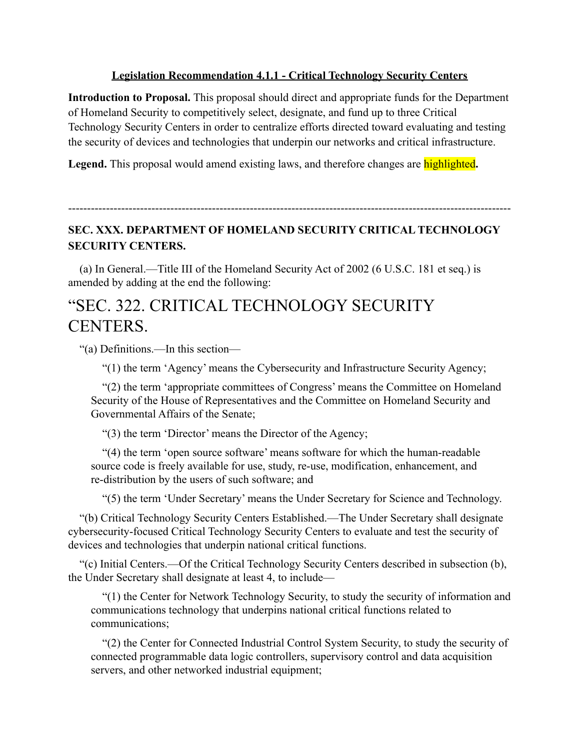## **Legislation Recommendation 4.1.1 - Critical Technology Security Centers**

**Introduction to Proposal.** This proposal should direct and appropriate funds for the Department of Homeland Security to competitively select, designate, and fund up to three Critical Technology Security Centers in order to centralize efforts directed toward evaluating and testing the security of devices and technologies that underpin our networks and critical infrastructure.

**Legend.** This proposal would amend existing laws, and therefore changes are highlighted**.**

## ---------------------------------------------------------------------------------------------------------------------

## **SEC. XXX. DEPARTMENT OF HOMELAND SECURITY CRITICAL TECHNOLOGY SECURITY CENTERS.**

(a) In General.—Title III of the Homeland Security Act of 2002 (6 U.S.C. 181 et seq.) is amended by adding at the end the following:

## "SEC. 322. CRITICAL TECHNOLOGY SECURITY CENTERS.

"(a) Definitions.—In this section—

"(1) the term 'Agency' means the Cybersecurity and Infrastructure Security Agency;

"(2) the term 'appropriate committees of Congress' means the Committee on Homeland Security of the House of Representatives and the Committee on Homeland Security and Governmental Affairs of the Senate;

"(3) the term 'Director' means the Director of the Agency;

"(4) the term 'open source software' means software for which the human-readable source code is freely available for use, study, re-use, modification, enhancement, and re-distribution by the users of such software; and

"(5) the term 'Under Secretary' means the Under Secretary for Science and Technology.

"(b) Critical Technology Security Centers Established.—The Under Secretary shall designate cybersecurity-focused Critical Technology Security Centers to evaluate and test the security of devices and technologies that underpin national critical functions.

"(c) Initial Centers.—Of the Critical Technology Security Centers described in subsection (b), the Under Secretary shall designate at least 4, to include—

"(1) the Center for Network Technology Security, to study the security of information and communications technology that underpins national critical functions related to communications;

"(2) the Center for Connected Industrial Control System Security, to study the security of connected programmable data logic controllers, supervisory control and data acquisition servers, and other networked industrial equipment;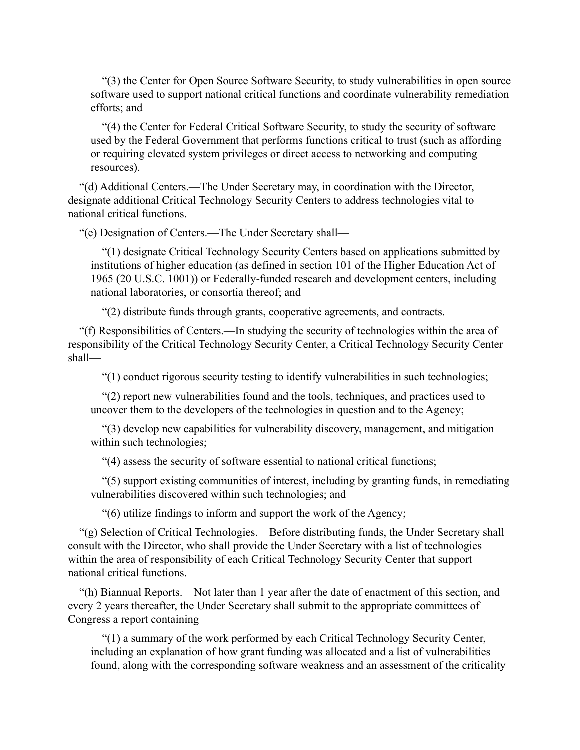"(3) the Center for Open Source Software Security, to study vulnerabilities in open source software used to support national critical functions and coordinate vulnerability remediation efforts; and

"(4) the Center for Federal Critical Software Security, to study the security of software used by the Federal Government that performs functions critical to trust (such as affording or requiring elevated system privileges or direct access to networking and computing resources).

"(d) Additional Centers.—The Under Secretary may, in coordination with the Director, designate additional Critical Technology Security Centers to address technologies vital to national critical functions.

"(e) Designation of Centers.—The Under Secretary shall—

"(1) designate Critical Technology Security Centers based on applications submitted by institutions of higher education (as defined in section 101 of the Higher Education Act of 1965 (20 U.S.C. 1001)) or Federally-funded research and development centers, including national laboratories, or consortia thereof; and

"(2) distribute funds through grants, cooperative agreements, and contracts.

"(f) Responsibilities of Centers.—In studying the security of technologies within the area of responsibility of the Critical Technology Security Center, a Critical Technology Security Center shall—

"(1) conduct rigorous security testing to identify vulnerabilities in such technologies;

"(2) report new vulnerabilities found and the tools, techniques, and practices used to uncover them to the developers of the technologies in question and to the Agency;

"(3) develop new capabilities for vulnerability discovery, management, and mitigation within such technologies;

"(4) assess the security of software essential to national critical functions;

"(5) support existing communities of interest, including by granting funds, in remediating vulnerabilities discovered within such technologies; and

"(6) utilize findings to inform and support the work of the Agency;

"(g) Selection of Critical Technologies.—Before distributing funds, the Under Secretary shall consult with the Director, who shall provide the Under Secretary with a list of technologies within the area of responsibility of each Critical Technology Security Center that support national critical functions.

"(h) Biannual Reports.—Not later than 1 year after the date of enactment of this section, and every 2 years thereafter, the Under Secretary shall submit to the appropriate committees of Congress a report containing—

"(1) a summary of the work performed by each Critical Technology Security Center, including an explanation of how grant funding was allocated and a list of vulnerabilities found, along with the corresponding software weakness and an assessment of the criticality